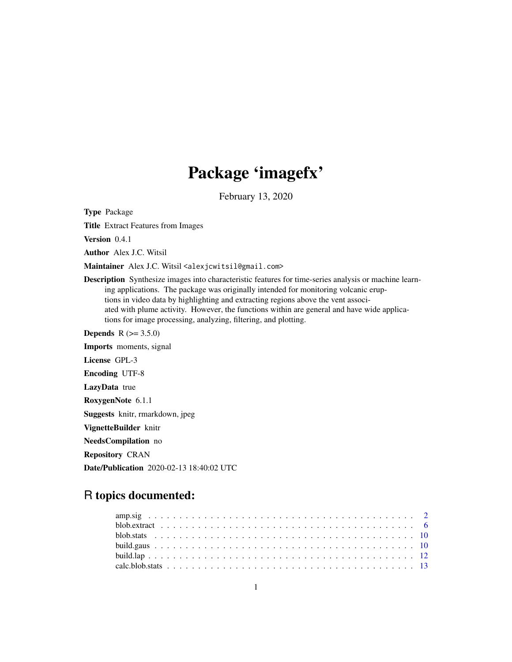# Package 'imagefx'

February 13, 2020

<span id="page-0-0"></span>Type Package

Title Extract Features from Images

Version 0.4.1

Author Alex J.C. Witsil

Maintainer Alex J.C. Witsil <alexjcwitsil@gmail.com>

Description Synthesize images into characteristic features for time-series analysis or machine learning applications. The package was originally intended for monitoring volcanic eruptions in video data by highlighting and extracting regions above the vent associated with plume activity. However, the functions within are general and have wide applications for image processing, analyzing, filtering, and plotting.

**Depends** R  $(>= 3.5.0)$ Imports moments, signal License GPL-3 Encoding UTF-8 LazyData true RoxygenNote 6.1.1 Suggests knitr, rmarkdown, jpeg VignetteBuilder knitr NeedsCompilation no Repository CRAN

Date/Publication 2020-02-13 18:40:02 UTC

# R topics documented: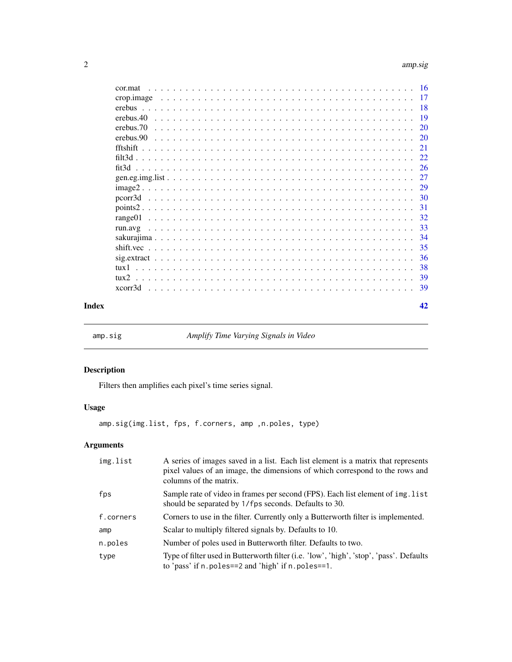<span id="page-1-0"></span>

|       | cor.mat                                                                                                                    |               |
|-------|----------------------------------------------------------------------------------------------------------------------------|---------------|
|       |                                                                                                                            |               |
|       |                                                                                                                            |               |
|       | erebus.40                                                                                                                  |               |
|       | erebus.70                                                                                                                  | <sup>20</sup> |
|       | erebus.90                                                                                                                  | <sup>20</sup> |
|       |                                                                                                                            | 21            |
|       |                                                                                                                            |               |
|       | fit3d                                                                                                                      | -26           |
|       |                                                                                                                            | 27            |
|       |                                                                                                                            |               |
|       |                                                                                                                            |               |
|       |                                                                                                                            | 31            |
|       |                                                                                                                            | 32            |
|       |                                                                                                                            | 33            |
|       |                                                                                                                            | 34            |
|       |                                                                                                                            | 35            |
|       | $sig. extract \dots \dots \dots \dots \dots \dots \dots \dots \dots \dots \dots \dots \dots \dots \dots \dots \dots \dots$ | 36            |
|       | $t$ ux 1                                                                                                                   | 38            |
|       | $t$ ux $2$                                                                                                                 |               |
|       |                                                                                                                            | -39           |
| Index |                                                                                                                            | 42            |

<span id="page-1-1"></span>amp.sig *Amplify Time Varying Signals in Video*

# Description

Filters then amplifies each pixel's time series signal.

# Usage

amp.sig(img.list, fps, f.corners, amp ,n.poles, type)

# Arguments

| img.list  | A series of images saved in a list. Each list element is a matrix that represents<br>pixel values of an image, the dimensions of which correspond to the rows and<br>columns of the matrix. |
|-----------|---------------------------------------------------------------------------------------------------------------------------------------------------------------------------------------------|
| fps       | Sample rate of video in frames per second (FPS). Each list element of img. list<br>should be separated by 1/fps seconds. Defaults to 30.                                                    |
| f.corners | Corners to use in the filter. Currently only a Butterworth filter is implemented.                                                                                                           |
| amp       | Scalar to multiply filtered signals by. Defaults to 10.                                                                                                                                     |
| n.poles   | Number of poles used in Butterworth filter. Defaults to two.                                                                                                                                |
| type      | Type of filter used in Butterworth filter (i.e. 'low', 'high', 'stop', 'pass'. Defaults<br>to 'pass' if $n$ . poles==2 and 'high' if $n$ . poles==1.                                        |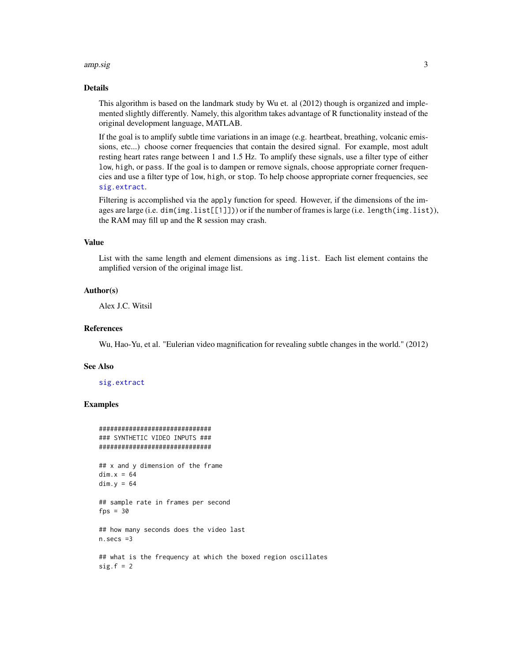#### <span id="page-2-0"></span>amp.sig 3

#### Details

This algorithm is based on the landmark study by Wu et. al (2012) though is organized and implemented slightly differently. Namely, this algorithm takes advantage of R functionality instead of the original development language, MATLAB.

If the goal is to amplify subtle time variations in an image (e.g. heartbeat, breathing, volcanic emissions, etc...) choose corner frequencies that contain the desired signal. For example, most adult resting heart rates range between 1 and 1.5 Hz. To amplify these signals, use a filter type of either low, high, or pass. If the goal is to dampen or remove signals, choose appropriate corner frequencies and use a filter type of low, high, or stop. To help choose appropriate corner frequencies, see [sig.extract](#page-35-1).

Filtering is accomplished via the apply function for speed. However, if the dimensions of the images are large (i.e. dim(img.list[[1]])) or if the number of frames is large (i.e. length(img.list)), the RAM may fill up and the R session may crash.

#### Value

List with the same length and element dimensions as img.list. Each list element contains the amplified version of the original image list.

#### Author(s)

Alex J.C. Witsil

#### References

Wu, Hao-Yu, et al. "Eulerian video magnification for revealing subtle changes in the world." (2012)

#### See Also

[sig.extract](#page-35-1)

# Examples

```
##############################
### SYNTHETIC VIDEO INPUTS ###
##############################
```
## x and y dimension of the frame  $dim.x = 64$  $dim.y = 64$ 

## sample rate in frames per second  $fps = 30$ 

## how many seconds does the video last n.secs =3

## what is the frequency at which the boxed region oscillates  $sig.f = 2$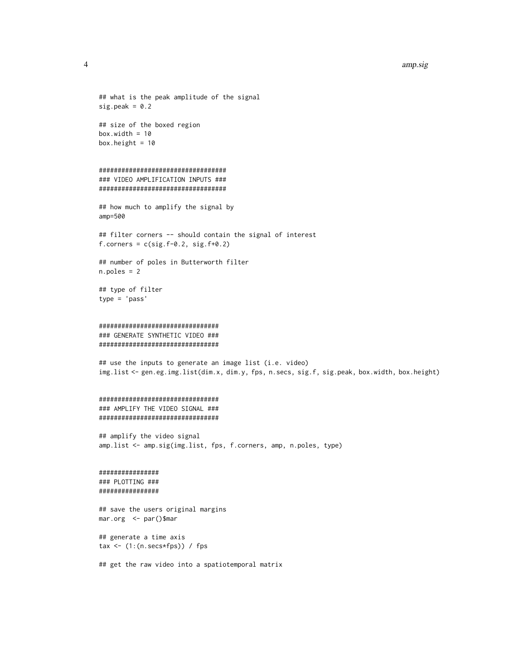#### 4 amp.sig

 $sig.peak = 0.2$ 

```
## size of the boxed region
box.width = 10box.height = 10
```

```
##################################
### VIDEO AMPLIFICATION INPUTS ###
##################################
```
## what is the peak amplitude of the signal

```
## how much to amplify the signal by
amp=500
```

```
## filter corners -- should contain the signal of interest
f. corners = c(sig.f-0.2, sig.f+0.2)
```

```
## number of poles in Butterworth filter
n.poles = 2
```

```
## type of filter
type = 'pass'
```

```
################################
### GENERATE SYNTHETIC VIDEO ###
```
################################

## use the inputs to generate an image list (i.e. video) img.list <- gen.eg.img.list(dim.x, dim.y, fps, n.secs, sig.f, sig.peak, box.width, box.height)

```
################################
### AMPLIFY THE VIDEO SIGNAL ###
################################
```

```
## amplify the video signal
amp.list <- amp.sig(img.list, fps, f.corners, amp, n.poles, type)
```

```
################
### PLOTTING ###
################
```
## save the users original margins mar.org <- par()\$mar

## generate a time axis tax  $\leq$  (1:(n.secs\*fps)) / fps

## get the raw video into a spatiotemporal matrix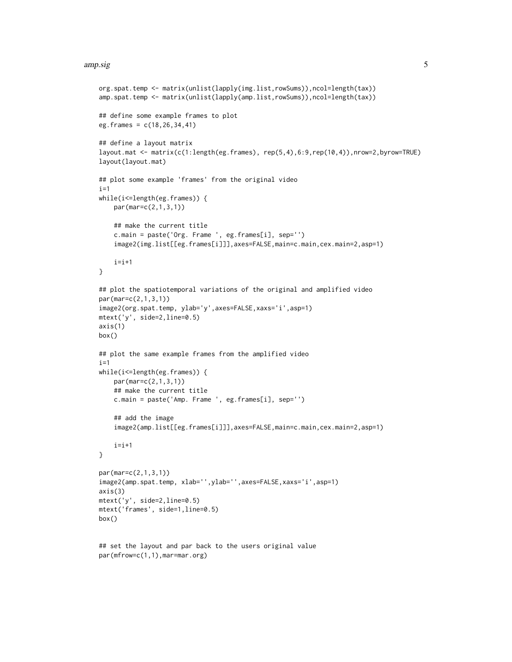#### amp.sig 5

```
org.spat.temp <- matrix(unlist(lapply(img.list,rowSums)),ncol=length(tax))
amp.spat.temp <- matrix(unlist(lapply(amp.list,rowSums)),ncol=length(tax))
## define some example frames to plot
eg.frames = c(18,26,34,41)
## define a layout matrix
layout.mat <- matrix(c(1:length(eg.frames), rep(5,4),6:9,rep(10,4)),nrow=2,byrow=TRUE)
layout(layout.mat)
## plot some example 'frames' from the original video
i=1while(i<=length(eg.frames)) {
    par(mar=c(2,1,3,1))
    ## make the current title
    c.main = paste('Org. Frame ', eg.frames[i], sep='')
    image2(img.list[[eg.frames[i]]],axes=FALSE,main=c.main,cex.main=2,asp=1)
    i=i+1}
## plot the spatiotemporal variations of the original and amplified video
par(mar=c(2,1,3,1))
image2(org.spat.temp, ylab='y',axes=FALSE,xaxs='i',asp=1)
mtext('y', side=2,line=0.5)
axis(1)
box()
## plot the same example frames from the amplified video
i=1while(i<=length(eg.frames)) {
   par(mar=c(2,1,3,1))
    ## make the current title
    c.main = paste('Amp. Frame ', eg.frames[i], sep='')
    ## add the image
    image2(amp.list[[eg.frames[i]]],axes=FALSE,main=c.main,cex.main=2,asp=1)
    i=i+1}
par(mar=c(2,1,3,1))
image2(amp.spat.temp, xlab='',ylab='',axes=FALSE,xaxs='i',asp=1)
axis(3)
mtext('y', side=2,line=0.5)
mtext('frames', side=1,line=0.5)
box()
```

```
## set the layout and par back to the users original value
par(mfrow=c(1,1),mar=mar.org)
```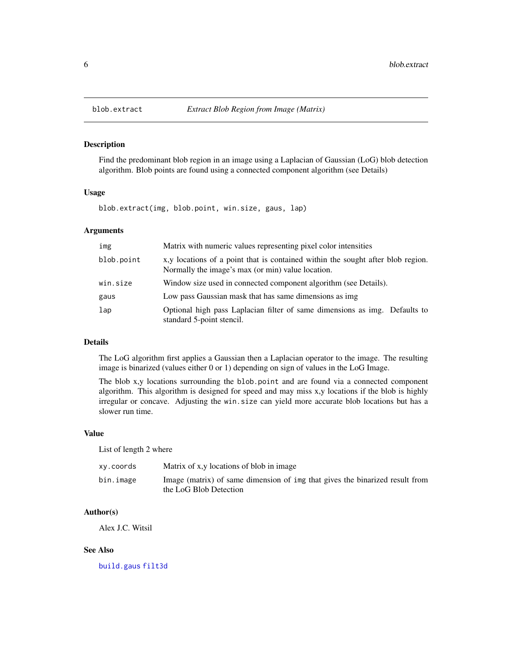# Description

Find the predominant blob region in an image using a Laplacian of Gaussian (LoG) blob detection algorithm. Blob points are found using a connected component algorithm (see Details)

# Usage

blob.extract(img, blob.point, win.size, gaus, lap)

#### Arguments

| img             | Matrix with numeric values representing pixel color intensities                                                                       |
|-----------------|---------------------------------------------------------------------------------------------------------------------------------------|
| blob.point      | x, y locations of a point that is contained within the sought after blob region.<br>Normally the image's max (or min) value location. |
| win.size        | Window size used in connected component algorithm (see Details).                                                                      |
| gaus            | Low pass Gaussian mask that has same dimensions as img.                                                                               |
| $_{\text{Lap}}$ | Optional high pass Laplacian filter of same dimensions as img. Defaults to<br>standard 5-point stencil.                               |

# Details

The LoG algorithm first applies a Gaussian then a Laplacian operator to the image. The resulting image is binarized (values either 0 or 1) depending on sign of values in the LoG Image.

The blob x,y locations surrounding the blob.point and are found via a connected component algorithm. This algorithm is designed for speed and may miss x,y locations if the blob is highly irregular or concave. Adjusting the win.size can yield more accurate blob locations but has a slower run time.

#### Value

List of length 2 where

| xy.coords | Matrix of x,y locations of blob in image                                                               |
|-----------|--------------------------------------------------------------------------------------------------------|
| bin.image | Image (matrix) of same dimension of ing that gives the binarized result from<br>the LoG Blob Detection |

# Author(s)

Alex J.C. Witsil

# See Also

[build.gaus](#page-9-1) [filt3d](#page-21-1)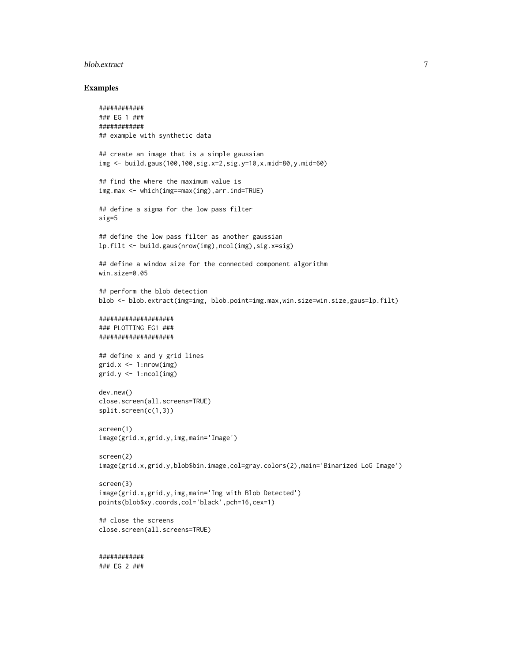#### blob.extract 7 and 7 and 7 and 7 and 7 and 7 and 7 and 7 and 7 and 7 and 7 and 7 and 7 and 7 and 7 and 7 and 7 and 7 and 7 and 7 and 7 and 7 and 7 and 7 and 7 and 7 and 7 and 7 and 7 and 7 and 7 and 7 and 7 and 7 and 7 and

#### Examples

```
############
### EG 1 ###
############
## example with synthetic data
## create an image that is a simple gaussian
img <- build.gaus(100,100,sig.x=2,sig.y=10,x.mid=80,y.mid=60)
## find the where the maximum value is
img.max <- which(img==max(img),arr.ind=TRUE)
## define a sigma for the low pass filter
sig=5
## define the low pass filter as another gaussian
lp.filt <- build.gaus(nrow(img),ncol(img),sig.x=sig)
## define a window size for the connected component algorithm
win.size=0.05
## perform the blob detection
blob <- blob.extract(img=img, blob.point=img.max,win.size=win.size,gaus=lp.filt)
####################
### PLOTTING EG1 ###
####################
## define x and y grid lines
grid.x <- 1:nrow(img)
grid.y <- 1:ncol(img)
dev.new()
close.screen(all.screens=TRUE)
split.screen(c(1,3))
screen(1)
image(grid.x,grid.y,img,main='Image')
screen(2)
image(grid.x,grid.y,blob$bin.image,col=gray.colors(2),main='Binarized LoG Image')
screen(3)
image(grid.x,grid.y,img,main='Img with Blob Detected')
points(blob$xy.coords,col='black',pch=16,cex=1)
## close the screens
close.screen(all.screens=TRUE)
############
```
### EG 2 ###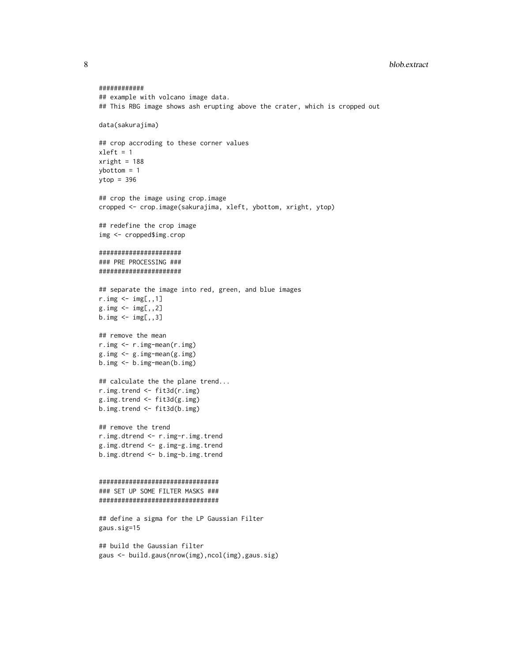8 blob.extract

```
############
## example with volcano image data.
## This RBG image shows ash erupting above the crater, which is cropped out
data(sakurajima)
## crop accroding to these corner values
xleft = 1xright = 188ybottom = 1
ytop = 396
## crop the image using crop.image
cropped <- crop.image(sakurajima, xleft, ybottom, xright, ytop)
## redefine the crop image
img <- cropped$img.crop
######################
### PRE PROCESSING ###
######################
## separate the image into red, green, and blue images
r.\text{img} < -\text{img}[,, 1]
g.\text{img} \leftarrow \text{img}[,, 2]
b.\text{img} < -\text{img}[,, 3]
## remove the mean
r.img <- r.img-mean(r.img)
g.img <- g.img-mean(g.img)
b.img <- b.img-mean(b.img)
## calculate the the plane trend...
r.img.trend <- fit3d(r.img)
g.img.trend <- fit3d(g.img)
b.img.trend <- fit3d(b.img)
## remove the trend
r.img.dtrend <- r.img-r.img.trend
g.img.dtrend <- g.img-g.img.trend
b.img.dtrend <- b.img-b.img.trend
################################
### SET UP SOME FILTER MASKS ###
################################
## define a sigma for the LP Gaussian Filter
gaus.sig=15
## build the Gaussian filter
gaus <- build.gaus(nrow(img),ncol(img),gaus.sig)
```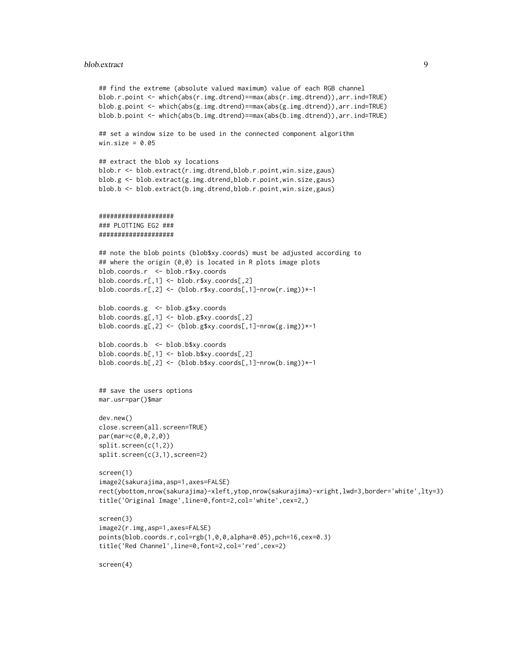#### blob.extract 9

```
## find the extreme (absolute valued maximum) value of each RGB channel
blob.r.point <- which(abs(r.img.dtrend)==max(abs(r.img.dtrend)),arr.ind=TRUE)
blob.g.point <- which(abs(g.img.dtrend)==max(abs(g.img.dtrend)),arr.ind=TRUE)
blob.b.point <- which(abs(b.img.dtrend)==max(abs(b.img.dtrend)),arr.ind=TRUE)
## set a window size to be used in the connected component algorithm
win.size = 0.05## extract the blob xy locations
blob.r <- blob.extract(r.img.dtrend,blob.r.point,win.size,gaus)
blob.g <- blob.extract(g.img.dtrend,blob.r.point,win.size,gaus)
blob.b <- blob.extract(b.img.dtrend,blob.r.point,win.size,gaus)
####################
### PLOTTING EG2 ###
####################
## note the blob points (blob$xy.coords) must be adjusted according to
## where the origin (0,0) is located in R plots image plots
blob.coords.r <- blob.r$xy.coords
blob.coords.r[,1] <- blob.r$xy.coords[,2]
blob.coords.r[,2] <- (blob.r$xy.coords[,1]-nrow(r.img))*-1
blob.coords.g <- blob.g$xy.coords
blob.coords.g[,1] <- blob.g$xy.coords[,2]
blob.coords.g[,2] <- (blob.g$xy.coords[,1]-nrow(g.img))*-1
blob.coords.b <- blob.b$xy.coords
blob.coords.b[,1] <- blob.b$xy.coords[,2]
blob.coords.b[,2] <- (blob.b$xy.coords[,1]-nrow(b.img))*-1
## save the users options
mar.usr=par()$mar
dev.new()
close.screen(all.screen=TRUE)
par(mar=c(0,0,2,0))
split.screen(c(1,2))
split.screen(c(3,1),screen=2)
screen(1)
image2(sakurajima,asp=1,axes=FALSE)
rect(ybottom,nrow(sakurajima)-xleft,ytop,nrow(sakurajima)-xright,lwd=3,border='white',lty=3)
title('Original Image',line=0,font=2,col='white',cex=2,)
screen(3)
image2(r.img,asp=1,axes=FALSE)
points(blob.coords.r,col=rgb(1,0,0,alpha=0.05),pch=16,cex=0.3)
title('Red Channel',line=0,font=2,col='red',cex=2)
screen(4)
```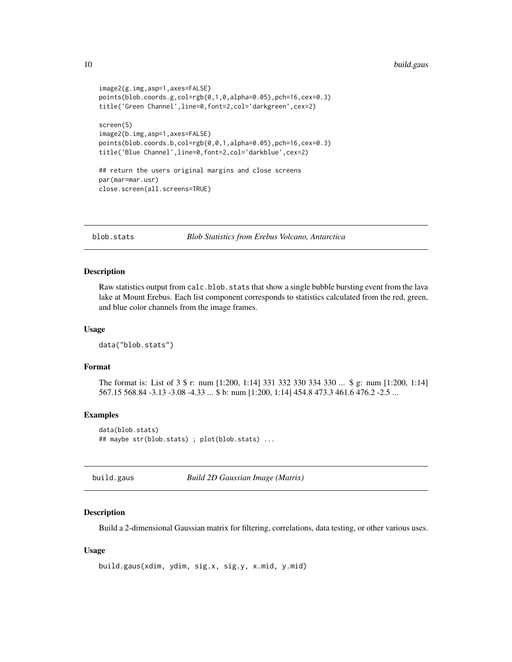```
image2(g.img,asp=1,axes=FALSE)
points(blob.coords.g,col=rgb(0,1,0,alpha=0.05),pch=16,cex=0.3)
title('Green Channel',line=0,font=2,col='darkgreen',cex=2)
screen(5)
image2(b.img,asp=1,axes=FALSE)
points(blob.coords.b,col=rgb(0,0,1,alpha=0.05),pch=16,cex=0.3)
title('Blue Channel',line=0,font=2,col='darkblue',cex=2)
## return the users original margins and close screens
par(mar=mar.usr)
close.screen(all.screens=TRUE)
```
blob.stats *Blob Statistics from Erebus Volcano, Antarctica*

#### Description

Raw statistics output from calc.blob.stats that show a single bubble bursting event from the lava lake at Mount Erebus. Each list component corresponds to statistics calculated from the red, green, and blue color channels from the image frames.

# Usage

data("blob.stats")

# Format

The format is: List of 3 \$ r: num [1:200, 1:14] 331 332 330 334 330 ... \$ g: num [1:200, 1:14] 567.15 568.84 -3.13 -3.08 -4.33 ... \$ b: num [1:200, 1:14] 454.8 473.3 461.6 476.2 -2.5 ...

#### Examples

```
data(blob.stats)
## maybe str(blob.stats) ; plot(blob.stats) ...
```
<span id="page-9-1"></span>build.gaus *Build 2D Gaussian Image (Matrix)*

#### Description

Build a 2-dimensional Gaussian matrix for filtering, correlations, data testing, or other various uses.

#### Usage

```
build.gaus(xdim, ydim, sig.x, sig.y, x.mid, y.mid)
```
<span id="page-9-0"></span>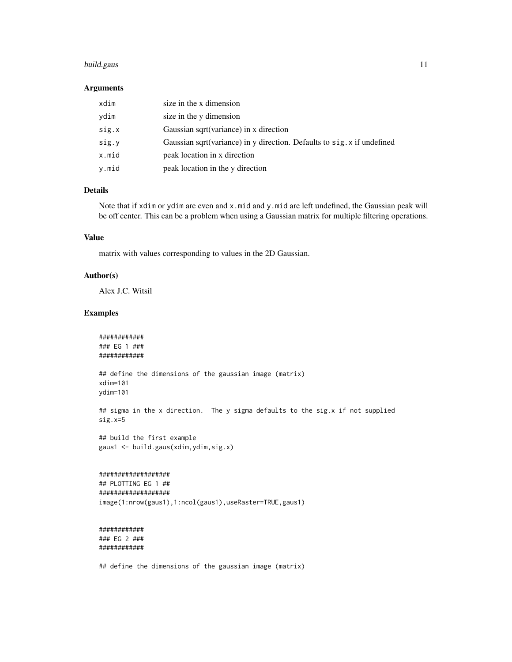# build.gaus 11

#### Arguments

| xdim  | size in the x dimension                                                 |
|-------|-------------------------------------------------------------------------|
| ydim  | size in the y dimension                                                 |
| sig.x | Gaussian sqrt(variance) in x direction                                  |
| sig.y | Gaussian sqrt(variance) in y direction. Defaults to sig. x if undefined |
| x.mid | peak location in x direction                                            |
| y.mid | peak location in the y direction                                        |

# Details

Note that if xdim or ydim are even and x.mid and y.mid are left undefined, the Gaussian peak will be off center. This can be a problem when using a Gaussian matrix for multiple filtering operations.

#### Value

matrix with values corresponding to values in the 2D Gaussian.

# Author(s)

Alex J.C. Witsil

# Examples

```
############
### EG 1 ###
############
```
## define the dimensions of the gaussian image (matrix) xdim=101 ydim=101

## sigma in the x direction. The y sigma defaults to the sig.x if not supplied sig.x=5

## build the first example gaus1 <- build.gaus(xdim,ydim,sig.x)

```
###################
```

```
## PLOTTING EG 1 ##
###################
image(1:nrow(gaus1),1:ncol(gaus1),useRaster=TRUE,gaus1)
```

```
############
### EG 2 ###
############
```
## define the dimensions of the gaussian image (matrix)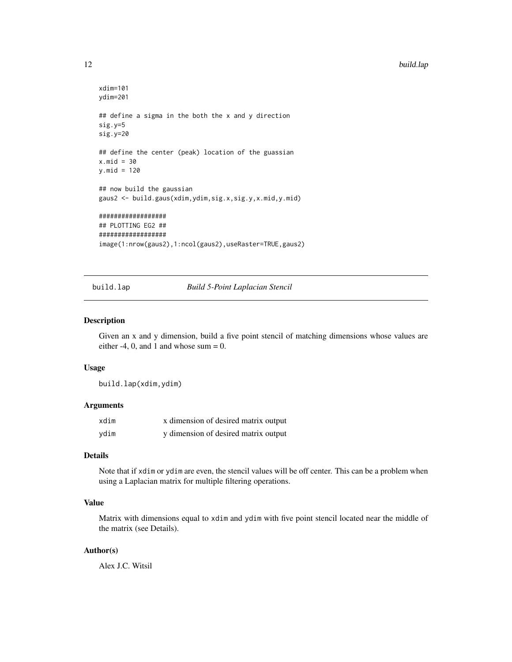```
xdim=101
ydim=201
## define a sigma in the both the x and y direction
sig.y=5
sig.y=20
## define the center (peak) location of the guassian
x.mid = 30y.mid = 120## now build the gaussian
gaus2 <- build.gaus(xdim,ydim,sig.x,sig.y,x.mid,y.mid)
##################
## PLOTTING EG2 ##
##################
image(1:nrow(gaus2),1:ncol(gaus2),useRaster=TRUE,gaus2)
```
#### build.lap *Build 5-Point Laplacian Stencil*

#### Description

Given an x and y dimension, build a five point stencil of matching dimensions whose values are either  $-4$ , 0, and 1 and whose sum = 0.

#### Usage

build.lap(xdim,ydim)

#### Arguments

| xdim | x dimension of desired matrix output |
|------|--------------------------------------|
| ydim | y dimension of desired matrix output |

# Details

Note that if xdim or ydim are even, the stencil values will be off center. This can be a problem when using a Laplacian matrix for multiple filtering operations.

# Value

Matrix with dimensions equal to xdim and ydim with five point stencil located near the middle of the matrix (see Details).

# Author(s)

Alex J.C. Witsil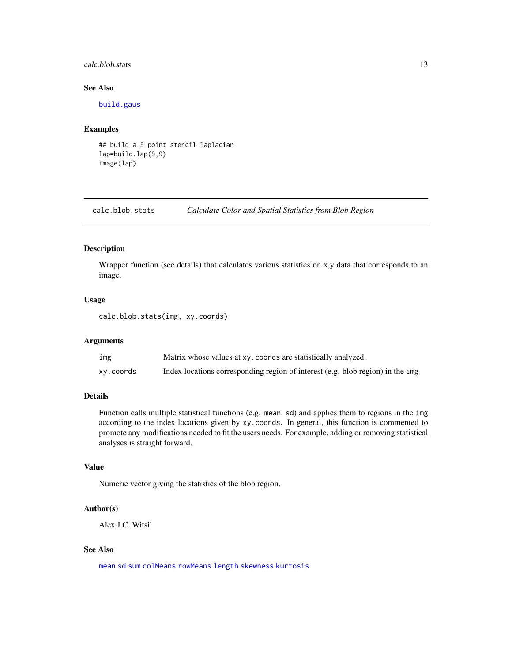#### <span id="page-12-0"></span>calc.blob.stats 13

# See Also

[build.gaus](#page-9-1)

# Examples

## build a 5 point stencil laplacian lap=build.lap(9,9) image(lap)

calc.blob.stats *Calculate Color and Spatial Statistics from Blob Region*

# Description

Wrapper function (see details) that calculates various statistics on x,y data that corresponds to an image.

#### Usage

calc.blob.stats(img, xy.coords)

# Arguments

| img       | Matrix whose values at xy. coords are statistically analyzed.                  |
|-----------|--------------------------------------------------------------------------------|
| xy.coords | Index locations corresponding region of interest (e.g. blob region) in the img |

# Details

Function calls multiple statistical functions (e.g. mean, sd) and applies them to regions in the img according to the index locations given by xy.coords. In general, this function is commented to promote any modifications needed to fit the users needs. For example, adding or removing statistical analyses is straight forward.

#### Value

Numeric vector giving the statistics of the blob region.

# Author(s)

Alex J.C. Witsil

#### See Also

[mean](#page-0-0) [sd](#page-0-0) [sum](#page-0-0) [colMeans](#page-0-0) [rowMeans](#page-0-0) [length](#page-0-0) [skewness](#page-0-0) [kurtosis](#page-0-0)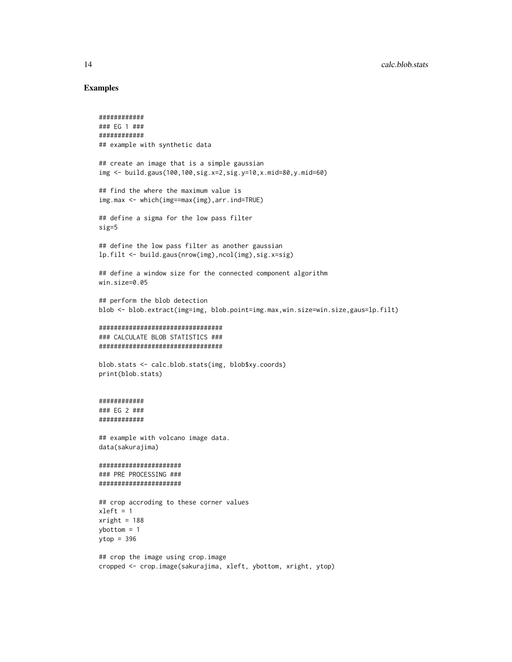#### Examples

```
############
### EG 1 ###
############
## example with synthetic data
## create an image that is a simple gaussian
img <- build.gaus(100,100,sig.x=2,sig.y=10,x.mid=80,y.mid=60)
## find the where the maximum value is
img.max <- which(img==max(img),arr.ind=TRUE)
## define a sigma for the low pass filter
sig=5
## define the low pass filter as another gaussian
lp.filt <- build.gaus(nrow(img),ncol(img),sig.x=sig)
## define a window size for the connected component algorithm
win.size=0.05
## perform the blob detection
blob <- blob.extract(img=img, blob.point=img.max,win.size=win.size,gaus=lp.filt)
#################################
### CALCULATE BLOB STATISTICS ###
#################################
blob.stats <- calc.blob.stats(img, blob$xy.coords)
print(blob.stats)
############
### EG 2 ###
############
## example with volcano image data.
data(sakurajima)
######################
### PRE PROCESSING ###
######################
## crop accroding to these corner values
xleft = 1xright = 188ybottom = 1
ytop = 396
## crop the image using crop.image
cropped <- crop.image(sakurajima, xleft, ybottom, xright, ytop)
```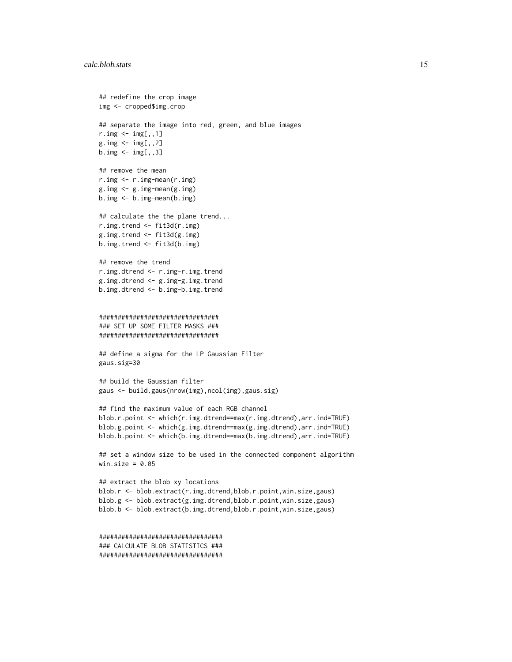```
## redefine the crop image
img <- cropped$img.crop
## separate the image into red, green, and blue images
r.img \leftarrow img[, 1]g.\text{img} \leftarrow \text{img}[,, 2]
b.\text{img} \leftarrow \text{img}[,, 3]
## remove the mean
r.img <- r.img-mean(r.img)
g.img <- g.img-mean(g.img)
b.img <- b.img-mean(b.img)
## calculate the the plane trend...
r.img.trend <- fit3d(r.img)
g.img.trend <- fit3d(g.img)
b.img.trend <- fit3d(b.img)
## remove the trend
r.img.dtrend <- r.img-r.img.trend
g.img.dtrend <- g.img-g.img.trend
b.img.dtrend <- b.img-b.img.trend
################################
### SET UP SOME FILTER MASKS ###
################################
## define a sigma for the LP Gaussian Filter
gaus.sig=30
## build the Gaussian filter
gaus <- build.gaus(nrow(img),ncol(img),gaus.sig)
## find the maximum value of each RGB channel
blob.r.point <- which(r.img.dtrend==max(r.img.dtrend),arr.ind=TRUE)
blob.g.point <- which(g.img.dtrend==max(g.img.dtrend),arr.ind=TRUE)
blob.b.point <- which(b.img.dtrend==max(b.img.dtrend),arr.ind=TRUE)
## set a window size to be used in the connected component algorithm
win.size = 0.05## extract the blob xy locations
blob.r <- blob.extract(r.img.dtrend,blob.r.point,win.size,gaus)
blob.g <- blob.extract(g.img.dtrend,blob.r.point,win.size,gaus)
blob.b <- blob.extract(b.img.dtrend,blob.r.point,win.size,gaus)
#################################
### CALCULATE BLOB STATISTICS ###
#################################
```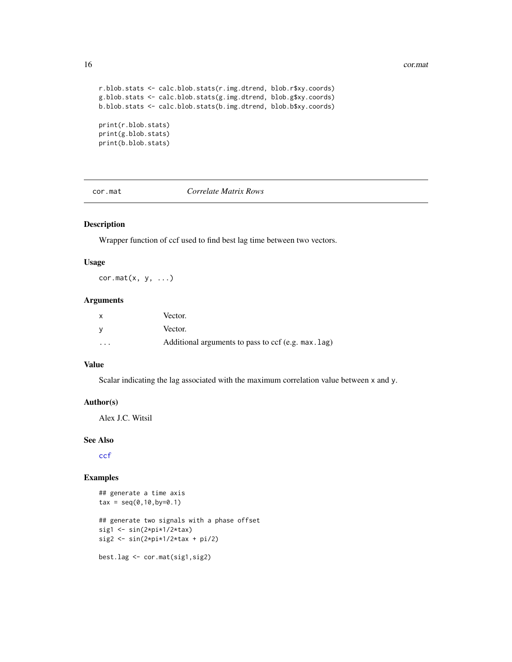#### <span id="page-15-0"></span>16 cor.mat

```
r.blob.stats <- calc.blob.stats(r.img.dtrend, blob.r$xy.coords)
g.blob.stats <- calc.blob.stats(g.img.dtrend, blob.g$xy.coords)
b.blob.stats <- calc.blob.stats(b.img.dtrend, blob.b$xy.coords)
print(r.blob.stats)
print(g.blob.stats)
print(b.blob.stats)
```
cor.mat *Correlate Matrix Rows*

# Description

Wrapper function of ccf used to find best lag time between two vectors.

#### Usage

 $cor.mat(x, y, ...)$ 

#### Arguments

|          | Vector.                                             |
|----------|-----------------------------------------------------|
|          | Vector.                                             |
| $\cdots$ | Additional arguments to pass to ccf (e.g. max. lag) |

# Value

Scalar indicating the lag associated with the maximum correlation value between x and y.

#### Author(s)

Alex J.C. Witsil

# See Also

[ccf](#page-0-0)

# Examples

```
## generate a time axis
tax = seq(0, 10, by=0.1)## generate two signals with a phase offset
sig1 \leftarrow sin(2*pi*1/2*tax)
sig2 <- sin(2*pi*1/2*tax + pi/2)best.lag <- cor.mat(sig1,sig2)
```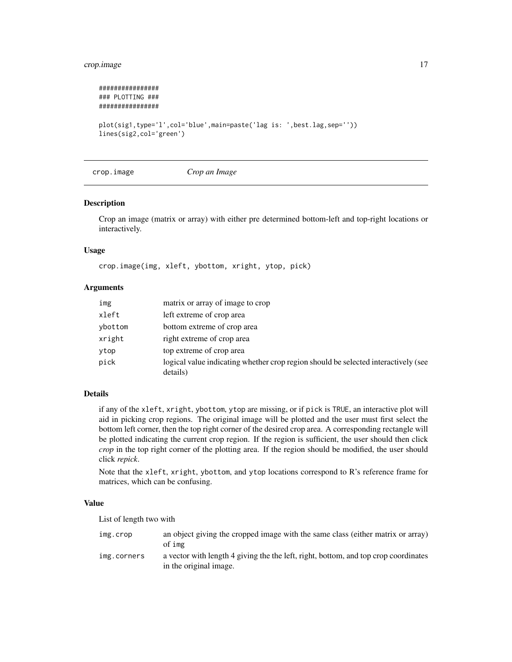# <span id="page-16-0"></span>crop.image 17

```
################
### PLOTTING ###
################
plot(sig1,type='l',col='blue',main=paste('lag is: ',best.lag,sep=''))
lines(sig2,col='green')
```
crop.image *Crop an Image*

#### Description

Crop an image (matrix or array) with either pre determined bottom-left and top-right locations or interactively.

#### Usage

crop.image(img, xleft, ybottom, xright, ytop, pick)

# Arguments

| img     | matrix or array of image to crop                                                               |
|---------|------------------------------------------------------------------------------------------------|
| xleft   | left extreme of crop area                                                                      |
| ybottom | bottom extreme of crop area                                                                    |
| xright  | right extreme of crop area                                                                     |
| ytop    | top extreme of crop area                                                                       |
| pick    | logical value indicating whether crop region should be selected interactively (see<br>details) |

# Details

if any of the xleft, xright, ybottom, ytop are missing, or if pick is TRUE, an interactive plot will aid in picking crop regions. The original image will be plotted and the user must first select the bottom left corner, then the top right corner of the desired crop area. A corresponding rectangle will be plotted indicating the current crop region. If the region is sufficient, the user should then click *crop* in the top right corner of the plotting area. If the region should be modified, the user should click *repick*.

Note that the xleft, xright, ybottom, and ytop locations correspond to R's reference frame for matrices, which can be confusing.

#### Value

List of length two with

| img.crop    | an object giving the cropped image with the same class (either matrix or array)<br>of img                     |
|-------------|---------------------------------------------------------------------------------------------------------------|
| img.corners | a vector with length 4 giving the the left, right, bottom, and top crop coordinates<br>in the original image. |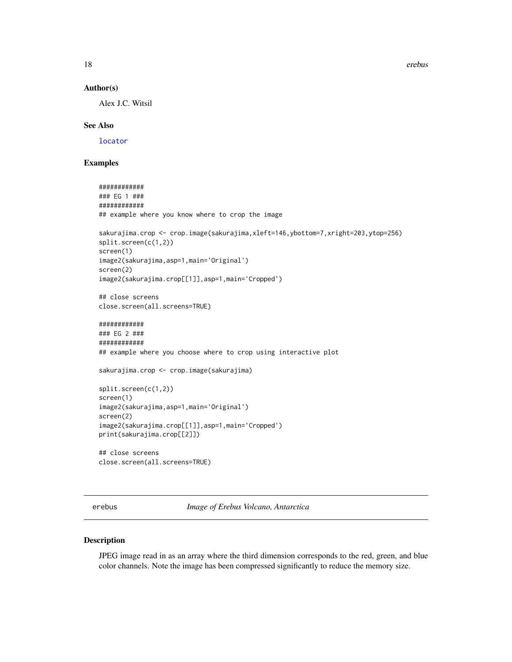18 erebus and the set of the set of the set of the set of the set of the set of the set of the set of the set of the set of the set of the set of the set of the set of the set of the set of the set of the set of the set of

#### Author(s)

Alex J.C. Witsil

#### See Also

[locator](#page-0-0)

# Examples

```
############
### EG 1 ###
############
## example where you know where to crop the image
sakurajima.crop <- crop.image(sakurajima,xleft=146,ybottom=7,xright=203,ytop=256)
split.screen(c(1,2))
screen(1)
image2(sakurajima,asp=1,main='Original')
screen(2)
image2(sakurajima.crop[[1]],asp=1,main='Cropped')
## close screens
close.screen(all.screens=TRUE)
############
### EG 2 ###
############
## example where you choose where to crop using interactive plot
sakurajima.crop <- crop.image(sakurajima)
split.screen(c(1,2))
screen(1)
image2(sakurajima,asp=1,main='Original')
screen(2)
image2(sakurajima.crop[[1]],asp=1,main='Cropped')
print(sakurajima.crop[[2]])
## close screens
close.screen(all.screens=TRUE)
```
erebus *Image of Erebus Volcano, Antarctica*

#### Description

JPEG image read in as an array where the third dimension corresponds to the red, green, and blue color channels. Note the image has been compressed significantly to reduce the memory size.

<span id="page-17-0"></span>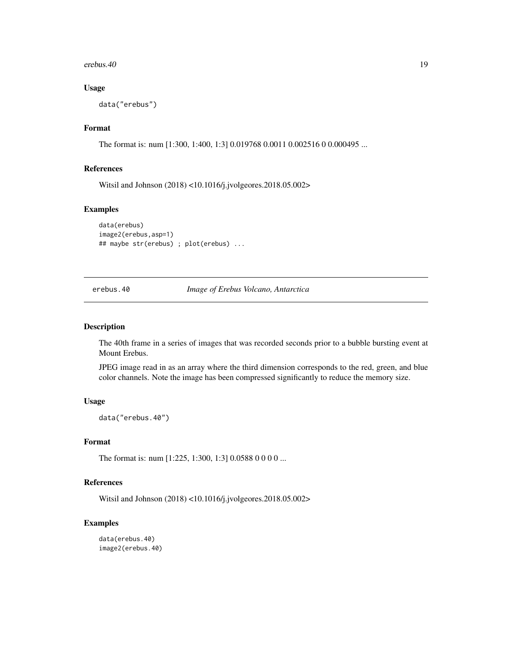<span id="page-18-0"></span>erebus. $40$  19

# Usage

data("erebus")

# Format

The format is: num [1:300, 1:400, 1:3] 0.019768 0.0011 0.002516 0 0.000495 ...

# References

Witsil and Johnson (2018) <10.1016/j.jvolgeores.2018.05.002>

#### Examples

```
data(erebus)
image2(erebus,asp=1)
## maybe str(erebus) ; plot(erebus) ...
```
erebus.40 *Image of Erebus Volcano, Antarctica*

#### Description

The 40th frame in a series of images that was recorded seconds prior to a bubble bursting event at Mount Erebus.

JPEG image read in as an array where the third dimension corresponds to the red, green, and blue color channels. Note the image has been compressed significantly to reduce the memory size.

### Usage

data("erebus.40")

# Format

The format is: num [1:225, 1:300, 1:3] 0.0588 0 0 0 0 ...

# References

Witsil and Johnson (2018) <10.1016/j.jvolgeores.2018.05.002>

# Examples

```
data(erebus.40)
image2(erebus.40)
```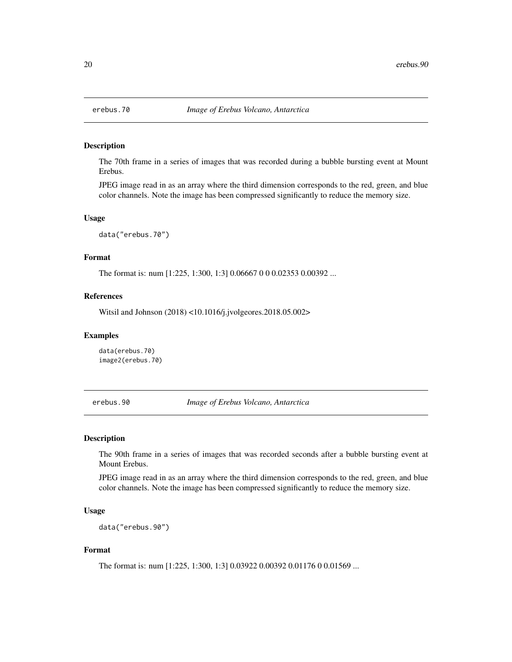<span id="page-19-0"></span>

#### Description

The 70th frame in a series of images that was recorded during a bubble bursting event at Mount Erebus.

JPEG image read in as an array where the third dimension corresponds to the red, green, and blue color channels. Note the image has been compressed significantly to reduce the memory size.

#### Usage

data("erebus.70")

# Format

The format is: num [1:225, 1:300, 1:3] 0.06667 0 0 0.02353 0.00392 ...

# References

Witsil and Johnson (2018) <10.1016/j.jvolgeores.2018.05.002>

#### Examples

data(erebus.70) image2(erebus.70)

erebus.90 *Image of Erebus Volcano, Antarctica*

#### Description

The 90th frame in a series of images that was recorded seconds after a bubble bursting event at Mount Erebus.

JPEG image read in as an array where the third dimension corresponds to the red, green, and blue color channels. Note the image has been compressed significantly to reduce the memory size.

#### Usage

data("erebus.90")

# Format

The format is: num [1:225, 1:300, 1:3] 0.03922 0.00392 0.01176 0 0.01569 ...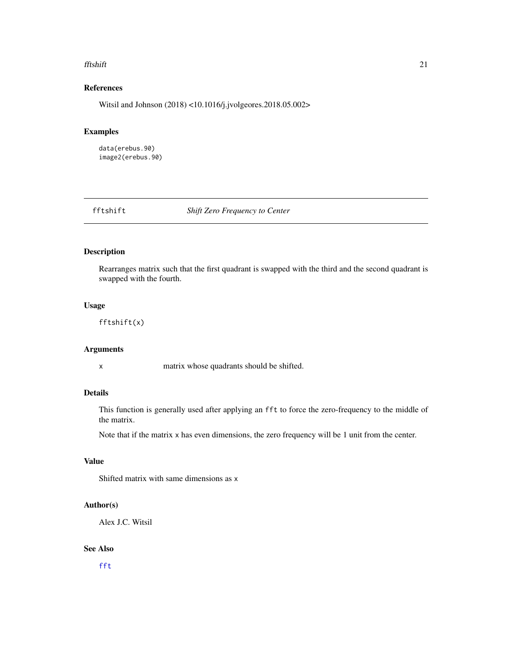#### <span id="page-20-0"></span>fftshift 21

# References

Witsil and Johnson (2018) <10.1016/j.jvolgeores.2018.05.002>

# Examples

data(erebus.90) image2(erebus.90)

<span id="page-20-1"></span>fftshift *Shift Zero Frequency to Center*

# Description

Rearranges matrix such that the first quadrant is swapped with the third and the second quadrant is swapped with the fourth.

# Usage

fftshift(x)

# Arguments

x matrix whose quadrants should be shifted.

# Details

This function is generally used after applying an fft to force the zero-frequency to the middle of the matrix.

Note that if the matrix x has even dimensions, the zero frequency will be 1 unit from the center.

# Value

Shifted matrix with same dimensions as x

# Author(s)

Alex J.C. Witsil

#### See Also

[fft](#page-0-0)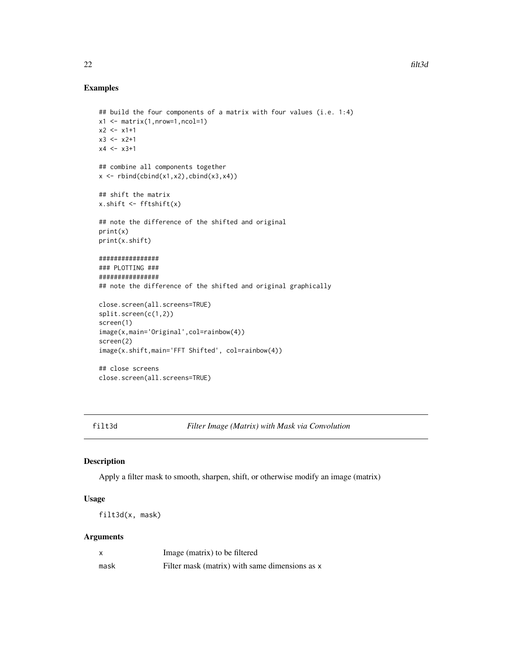# Examples

```
## build the four components of a matrix with four values (i.e. 1:4)
x1 \leftarrow \text{matrix}(1, nrow=1, ncol=1)x2 < - x1+1x3 < - x2+1x4 < - x3+1## combine all components together
x \leftarrow \text{rbind}(\text{cbind}(x1, x2), \text{cbind}(x3, x4))## shift the matrix
x.shift <- fftshift(x)
## note the difference of the shifted and original
print(x)
print(x.shift)
################
### PLOTTING ###
################
## note the difference of the shifted and original graphically
close.screen(all.screens=TRUE)
split.screen(c(1,2))
screen(1)
image(x,main='Original',col=rainbow(4))
screen(2)
image(x.shift,main='FFT Shifted', col=rainbow(4))
## close screens
close.screen(all.screens=TRUE)
```
<span id="page-21-1"></span>filt3d *Filter Image (Matrix) with Mask via Convolution*

#### Description

Apply a filter mask to smooth, sharpen, shift, or otherwise modify an image (matrix)

# Usage

filt3d(x, mask)

# Arguments

|      | Image (matrix) to be filtered                  |
|------|------------------------------------------------|
| mask | Filter mask (matrix) with same dimensions as x |

<span id="page-21-0"></span>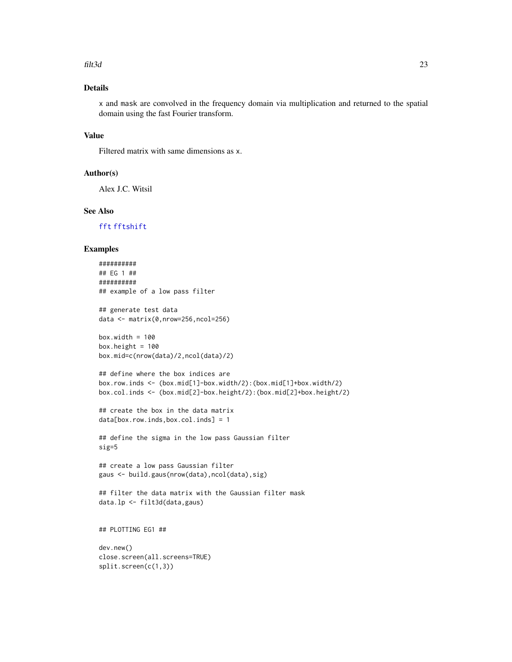#### <span id="page-22-0"></span>filt3d 23

# Details

x and mask are convolved in the frequency domain via multiplication and returned to the spatial domain using the fast Fourier transform.

# Value

Filtered matrix with same dimensions as x.

#### Author(s)

Alex J.C. Witsil

# See Also

[fft](#page-0-0) [fftshift](#page-20-1)

#### Examples

```
##########
## EG 1 ##
##########
## example of a low pass filter
## generate test data
data <- matrix(0,nrow=256,ncol=256)
box<u>width</u> = <math>100box.height = 100box.mid=c(nrow(data)/2,ncol(data)/2)
## define where the box indices are
box.row.inds <- (box.mid[1]-box.width/2):(box.mid[1]+box.width/2)
box.col.inds <- (box.mid[2]-box.height/2):(box.mid[2]+box.height/2)
## create the box in the data matrix
data[box.row.inds,box.col.inds] = 1
## define the sigma in the low pass Gaussian filter
sig=5
## create a low pass Gaussian filter
gaus <- build.gaus(nrow(data),ncol(data),sig)
## filter the data matrix with the Gaussian filter mask
data.lp <- filt3d(data,gaus)
## PLOTTING EG1 ##
dev.new()
close.screen(all.screens=TRUE)
split.screen(c(1,3))
```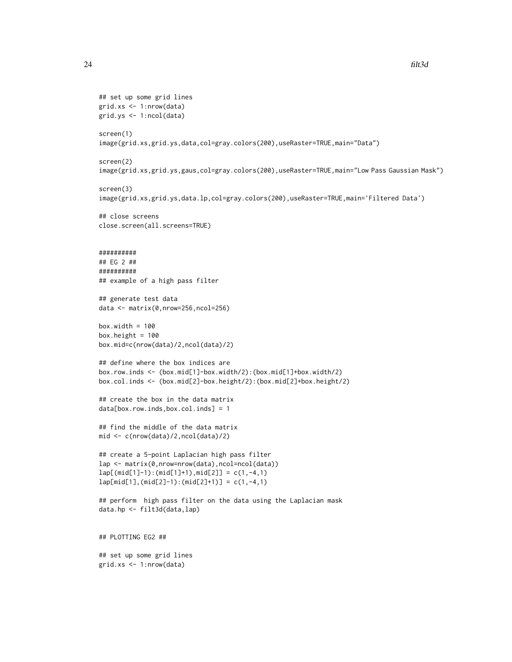```
## set up some grid lines
grid.xs <- 1:nrow(data)
grid.ys <- 1:ncol(data)
screen(1)
image(grid.xs,grid.ys,data,col=gray.colors(200),useRaster=TRUE,main="Data")
screen(2)
image(grid.xs,grid.ys,gaus,col=gray.colors(200),useRaster=TRUE,main="Low Pass Gaussian Mask")
screen(3)
image(grid.xs,grid.ys,data.lp,col=gray.colors(200),useRaster=TRUE,main='Filtered Data')
## close screens
close.screen(all.screens=TRUE)
##########
## EG 2 ##
##########
## example of a high pass filter
## generate test data
data <- matrix(0,nrow=256,ncol=256)
box.width = 100box.height = 100box.mid=c(nrow(data)/2,ncol(data)/2)
## define where the box indices are
box.row.inds <- (box.mid[1]-box.width/2):(box.mid[1]+box.width/2)
box.col.inds <- (box.mid[2]-box.height/2):(box.mid[2]+box.height/2)
## create the box in the data matrix
data[box.row.inds,box.col.inds] = 1
## find the middle of the data matrix
mid <- c(nrow(data)/2,ncol(data)/2)
## create a 5-point Laplacian high pass filter
lap <- matrix(0,nrow=nrow(data),ncol=ncol(data))
lap[(mid[1]-1):(mid[1]+1),mid[2]] = c(1,-4,1)
lap[\text{mid}[1], (\text{mid}[2]-1):(\text{mid}[2]+1)] = c(1, -4, 1)## perform high pass filter on the data using the Laplacian mask
data.hp <- filt3d(data,lap)
## PLOTTING EG2 ##
## set up some grid lines
grid.xs <- 1:nrow(data)
```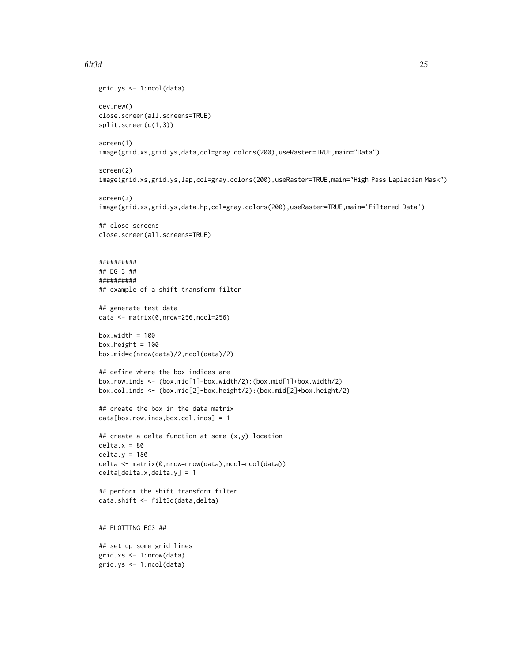#### filt3d 25

```
grid.ys <- 1:ncol(data)
dev.new()
close.screen(all.screens=TRUE)
split.screen(c(1,3))
screen(1)
image(grid.xs,grid.ys,data,col=gray.colors(200),useRaster=TRUE,main="Data")
screen(2)
image(grid.xs,grid.ys,lap,col=gray.colors(200),useRaster=TRUE,main="High Pass Laplacian Mask")
screen(3)
image(grid.xs,grid.ys,data.hp,col=gray.colors(200),useRaster=TRUE,main='Filtered Data')
## close screens
close.screen(all.screens=TRUE)
##########
## EG 3 ##
##########
## example of a shift transform filter
## generate test data
data <- matrix(0,nrow=256,ncol=256)
box.width = 100box.height = 100box.mid=c(nrow(data)/2,ncol(data)/2)
## define where the box indices are
box.row.inds <- (box.mid[1]-box.width/2):(box.mid[1]+box.width/2)
box.col.inds <- (box.mid[2]-box.height/2):(box.mid[2]+box.height/2)
## create the box in the data matrix
data[box.row.inds,box.col.inds] = 1
## create a delta function at some (x,y) location
delta.x = 80delta.y = 180
delta <- matrix(0,nrow=nrow(data),ncol=ncol(data))
delta[delta.x,delta.y] = 1
## perform the shift transform filter
data.shift <- filt3d(data,delta)
## PLOTTING EG3 ##
## set up some grid lines
grid.xs <- 1:nrow(data)
grid.ys <- 1:ncol(data)
```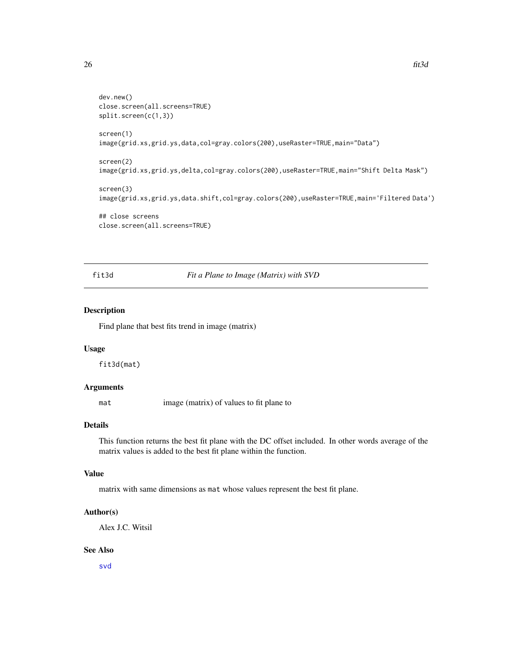```
dev.new()
close.screen(all.screens=TRUE)
split.screen(c(1,3))
screen(1)
image(grid.xs,grid.ys,data,col=gray.colors(200),useRaster=TRUE,main="Data")
screen(2)
image(grid.xs,grid.ys,delta,col=gray.colors(200),useRaster=TRUE,main="Shift Delta Mask")
screen(3)
image(grid.xs,grid.ys,data.shift,col=gray.colors(200),useRaster=TRUE,main='Filtered Data')
## close screens
close.screen(all.screens=TRUE)
```
# fit3d *Fit a Plane to Image (Matrix) with SVD*

# Description

Find plane that best fits trend in image (matrix)

#### Usage

fit3d(mat)

# Arguments

mat image (matrix) of values to fit plane to

# Details

This function returns the best fit plane with the DC offset included. In other words average of the matrix values is added to the best fit plane within the function.

# Value

matrix with same dimensions as mat whose values represent the best fit plane.

#### Author(s)

Alex J.C. Witsil

# See Also

[svd](#page-0-0)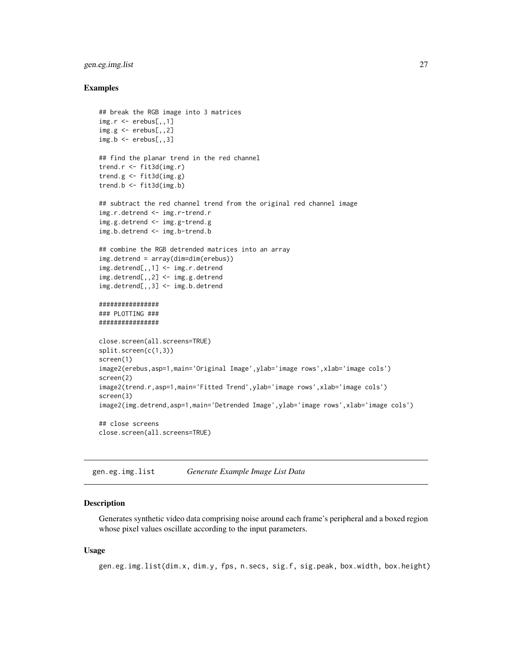# <span id="page-26-0"></span>gen.eg.img.list 27

#### Examples

```
## break the RGB image into 3 matrices
img.r < -</math>erebus[, , 1]img.g < -</math>erebus[, , 2]img.b \leftarrow erebus[, , 3]## find the planar trend in the red channel
trend.r <- fit3d(img.r)
trend.g <- fit3d(img.g)
trend.b <- fit3d(img.b)
## subtract the red channel trend from the original red channel image
img.r.detrend <- img.r-trend.r
img.g.detrend <- img.g-trend.g
img.b.detrend <- img.b-trend.b
## combine the RGB detrended matrices into an array
img.detrend = array(dim=dim(erebus))
img.detrend[,,1] <- img.r.detrend
img.detrend[,,2] <- img.g.detrend
img.detrend[,,3] <- img.b.detrend
################
### PLOTTING ###
################
close.screen(all.screens=TRUE)
split.screen(c(1,3))
screen(1)
image2(erebus,asp=1,main='Original Image',ylab='image rows',xlab='image cols')
screen(2)
image2(trend.r,asp=1,main='Fitted Trend',ylab='image rows',xlab='image cols')
screen(3)
image2(img.detrend,asp=1,main='Detrended Image',ylab='image rows',xlab='image cols')
## close screens
close.screen(all.screens=TRUE)
```
<span id="page-26-1"></span>gen.eg.img.list *Generate Example Image List Data*

#### Description

Generates synthetic video data comprising noise around each frame's peripheral and a boxed region whose pixel values oscillate according to the input parameters.

#### Usage

```
gen.eg.img.list(dim.x, dim.y, fps, n.secs, sig.f, sig.peak, box.width, box.height)
```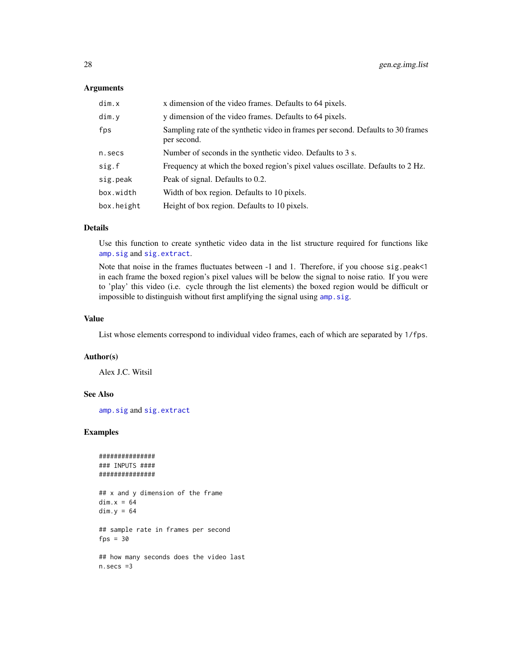#### <span id="page-27-0"></span>Arguments

| dim.x      | x dimension of the video frames. Defaults to 64 pixels.                                         |
|------------|-------------------------------------------------------------------------------------------------|
| dim.y      | y dimension of the video frames. Defaults to 64 pixels.                                         |
| fps        | Sampling rate of the synthetic video in frames per second. Defaults to 30 frames<br>per second. |
| n.secs     | Number of seconds in the synthetic video. Defaults to 3 s.                                      |
| sig.f      | Frequency at which the boxed region's pixel values oscillate. Defaults to 2 Hz.                 |
| sig.peak   | Peak of signal. Defaults to 0.2.                                                                |
| box.width  | Width of box region. Defaults to 10 pixels.                                                     |
| box.height | Height of box region. Defaults to 10 pixels.                                                    |

# Details

Use this function to create synthetic video data in the list structure required for functions like [amp.sig](#page-1-1) and [sig.extract](#page-35-1).

Note that noise in the frames fluctuates between -1 and 1. Therefore, if you choose sig.peak<1 in each frame the boxed region's pixel values will be below the signal to noise ratio. If you were to 'play' this video (i.e. cycle through the list elements) the boxed region would be difficult or impossible to distinguish without first amplifying the signal using amp. sig.

# Value

List whose elements correspond to individual video frames, each of which are separated by 1/fps.

#### Author(s)

Alex J.C. Witsil

# See Also

[amp.sig](#page-1-1) and [sig.extract](#page-35-1)

# Examples

```
###############
### INPUTS ####
###############
```
## x and y dimension of the frame  $dim.x = 64$  $dim.y = 64$ ## sample rate in frames per second  $fps = 30$ ## how many seconds does the video last n.secs =3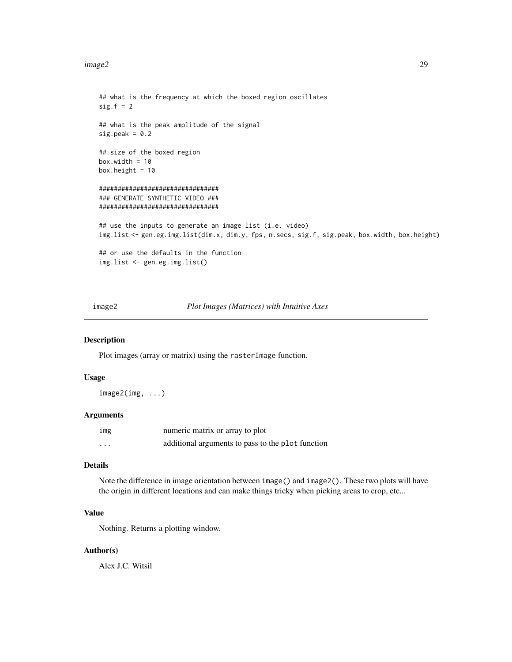#### <span id="page-28-0"></span>image2 29

```
## what is the frequency at which the boxed region oscillates
sig.f = 2## what is the peak amplitude of the signal
sig.peak = 0.2## size of the boxed region
box.width = 10box.height = 10################################
### GENERATE SYNTHETIC VIDEO ###
################################
## use the inputs to generate an image list (i.e. video)
img.list <- gen.eg.img.list(dim.x, dim.y, fps, n.secs, sig.f, sig.peak, box.width, box.height)
## or use the defaults in the function
img.list <- gen.eg.img.list()
```
<span id="page-28-1"></span>

image2 *Plot Images (Matrices) with Intuitive Axes*

### Description

Plot images (array or matrix) using the rasterImage function.

#### Usage

image2(img, ...)

#### Arguments

| img | numeric matrix or array to plot                   |
|-----|---------------------------------------------------|
| .   | additional arguments to pass to the plot function |

# Details

Note the difference in image orientation between image () and image 2(). These two plots will have the origin in different locations and can make things tricky when picking areas to crop, etc...

# Value

Nothing. Returns a plotting window.

#### Author(s)

Alex J.C. Witsil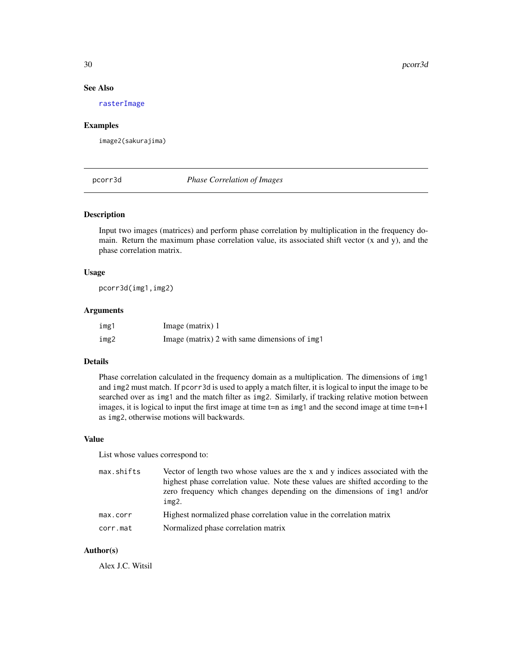# See Also

[rasterImage](#page-0-0)

#### Examples

image2(sakurajima)

# <span id="page-29-1"></span>pcorr3d *Phase Correlation of Images*

#### Description

Input two images (matrices) and perform phase correlation by multiplication in the frequency domain. Return the maximum phase correlation value, its associated shift vector (x and y), and the phase correlation matrix.

# Usage

pcorr3d(img1,img2)

# Arguments

| img1 | Image (matrix) $1$                            |
|------|-----------------------------------------------|
| img2 | Image (matrix) 2 with same dimensions of img1 |

#### Details

Phase correlation calculated in the frequency domain as a multiplication. The dimensions of img1 and img2 must match. If pcorr3d is used to apply a match filter, it is logical to input the image to be searched over as img1 and the match filter as img2. Similarly, if tracking relative motion between images, it is logical to input the first image at time  $t=n$  as img1 and the second image at time  $t=n+1$ as img2, otherwise motions will backwards.

#### Value

List whose values correspond to:

| max.shifts | Vector of length two whose values are the x and y indices associated with the   |
|------------|---------------------------------------------------------------------------------|
|            | highest phase correlation value. Note these values are shifted according to the |
|            | zero frequency which changes depending on the dimensions of img1 and/or         |
|            | img2.                                                                           |
| max.corr   | Highest normalized phase correlation value in the correlation matrix            |
| corr.mat   | Normalized phase correlation matrix                                             |

# Author(s)

Alex J.C. Witsil

<span id="page-29-0"></span>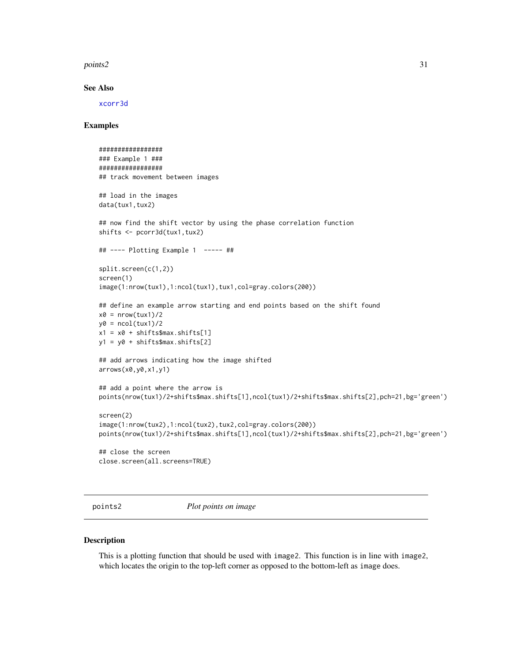#### <span id="page-30-0"></span>points2 31

#### See Also

[xcorr3d](#page-38-1)

# Examples

```
#################
### Example 1 ###
#################
## track movement between images
## load in the images
data(tux1,tux2)
## now find the shift vector by using the phase correlation function
shifts <- pcorr3d(tux1,tux2)
## ---- Plotting Example 1 ----- ##
split.screen(c(1,2))
screen(1)
image(1:nrow(tux1),1:ncol(tux1),tux1,col=gray.colors(200))
## define an example arrow starting and end points based on the shift found
x0 = nrow(tux1)/2y0 = \text{ncol}(\text{tux1})/2x1 = x0 + shiftts\max.shifts[1]
y1 = y0 + shiftts\max.shifts[2]
## add arrows indicating how the image shifted
arrows(x0,y0,x1,y1)
## add a point where the arrow is
points(nrow(tux1)/2+shifts$max.shifts[1],ncol(tux1)/2+shifts$max.shifts[2],pch=21,bg='green')
screen(2)
image(1:nrow(tux2),1:ncol(tux2),tux2,col=gray.colors(200))
points(nrow(tux1)/2+shifts$max.shifts[1],ncol(tux1)/2+shifts$max.shifts[2],pch=21,bg='green')
## close the screen
close.screen(all.screens=TRUE)
```
points2 *Plot points on image*

#### Description

This is a plotting function that should be used with image2. This function is in line with image2, which locates the origin to the top-left corner as opposed to the bottom-left as image does.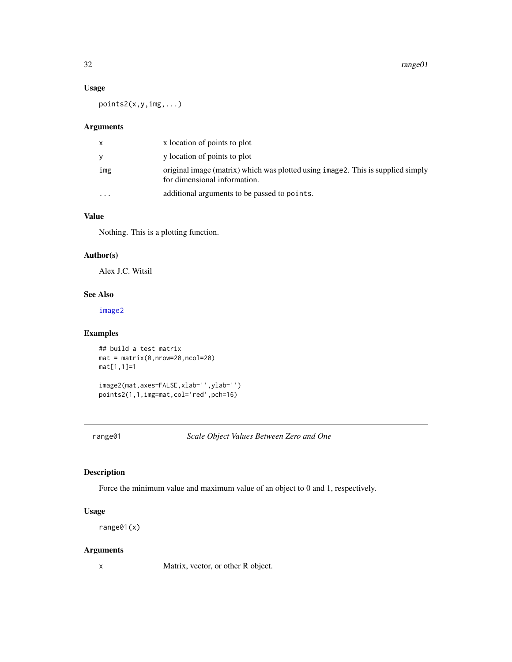# <span id="page-31-0"></span>Usage

points2(x,y,img,...)

# Arguments

| x        | x location of points to plot                                                                                     |
|----------|------------------------------------------------------------------------------------------------------------------|
| y        | y location of points to plot                                                                                     |
| img      | original image (matrix) which was plotted using image 2. This is supplied simply<br>for dimensional information. |
| $\cdots$ | additional arguments to be passed to points.                                                                     |

# Value

Nothing. This is a plotting function.

# Author(s)

Alex J.C. Witsil

# See Also

[image2](#page-28-1)

# Examples

## build a test matrix mat = matrix(0,nrow=20,ncol=20) mat[1,1]=1

image2(mat,axes=FALSE,xlab='',ylab='') points2(1,1,img=mat,col='red',pch=16)

range01 *Scale Object Values Between Zero and One*

# Description

Force the minimum value and maximum value of an object to 0 and 1, respectively.

# Usage

range01(x)

# Arguments

x Matrix, vector, or other R object.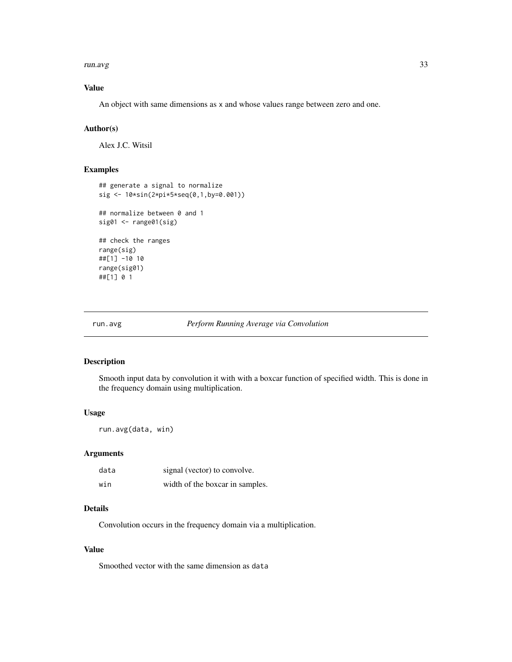<span id="page-32-0"></span>run.avg 33

# Value

An object with same dimensions as x and whose values range between zero and one.

# Author(s)

Alex J.C. Witsil

# Examples

```
## generate a signal to normalize
sig <- 10*sin(2*pi*5*seq(0,1,by=0.001))
## normalize between 0 and 1
sig01 <- range01(sig)
## check the ranges
range(sig)
##[1] -10 10
range(sig01)
##[1] 0 1
```
#### run.avg *Perform Running Average via Convolution*

#### Description

Smooth input data by convolution it with with a boxcar function of specified width. This is done in the frequency domain using multiplication.

# Usage

run.avg(data, win)

#### Arguments

| data | signal (vector) to convolve.    |
|------|---------------------------------|
| win  | width of the boxcar in samples. |

# Details

Convolution occurs in the frequency domain via a multiplication.

#### Value

Smoothed vector with the same dimension as data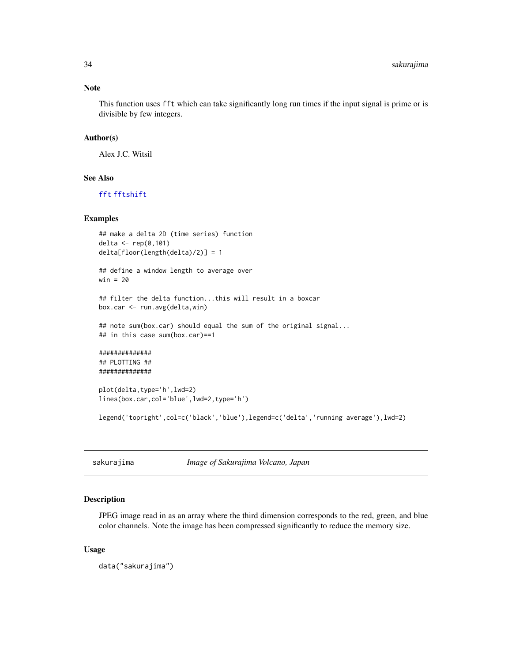#### Note

This function uses fft which can take significantly long run times if the input signal is prime or is divisible by few integers.

# Author(s)

Alex J.C. Witsil

# See Also

[fft](#page-0-0) [fftshift](#page-20-1)

#### Examples

```
## make a delta 2D (time series) function
delta <- rep(0,101)
delta[floor(length(delta)/2)] = 1
```

```
## define a window length to average over
win = 20
```

```
## filter the delta function...this will result in a boxcar
box.car <- run.avg(delta,win)
```

```
## note sum(box.car) should equal the sum of the original signal...
## in this case sum(box.car)==1
```

```
##############
## PLOTTING ##
##############
```

```
plot(delta,type='h',lwd=2)
lines(box.car,col='blue',lwd=2,type='h')
```
legend('topright',col=c('black','blue'),legend=c('delta','running average'),lwd=2)

sakurajima *Image of Sakurajima Volcano, Japan*

# Description

JPEG image read in as an array where the third dimension corresponds to the red, green, and blue color channels. Note the image has been compressed significantly to reduce the memory size.

#### Usage

data("sakurajima")

<span id="page-33-0"></span>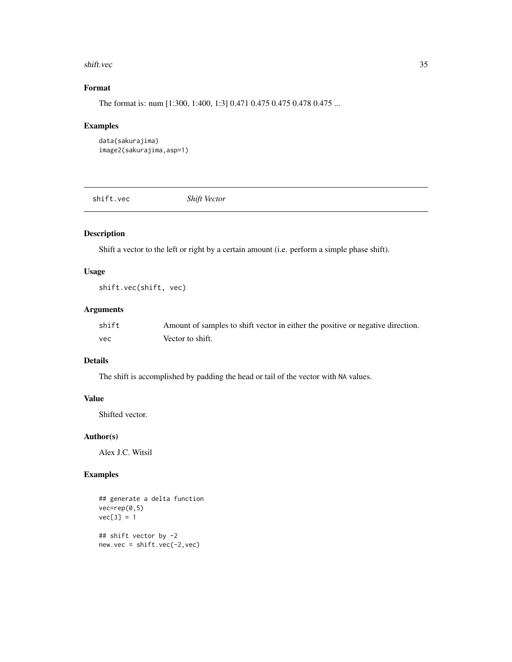#### <span id="page-34-0"></span>shift.vec 35

# Format

The format is: num [1:300, 1:400, 1:3] 0.471 0.475 0.475 0.478 0.475 ...

# Examples

```
data(sakurajima)
image2(sakurajima,asp=1)
```
shift.vec *Shift Vector*

# Description

Shift a vector to the left or right by a certain amount (i.e. perform a simple phase shift).

# Usage

shift.vec(shift, vec)

# Arguments

| shift | Amount of samples to shift vector in either the positive or negative direction. |
|-------|---------------------------------------------------------------------------------|
| vec   | Vector to shift.                                                                |

# Details

The shift is accomplished by padding the head or tail of the vector with NA values.

# Value

Shifted vector.

# Author(s)

Alex J.C. Witsil

# Examples

```
## generate a delta function
vec=rep(0,5)
vec[3] = 1## shift vector by -2
new.vec = shift.vec(-2,vec)
```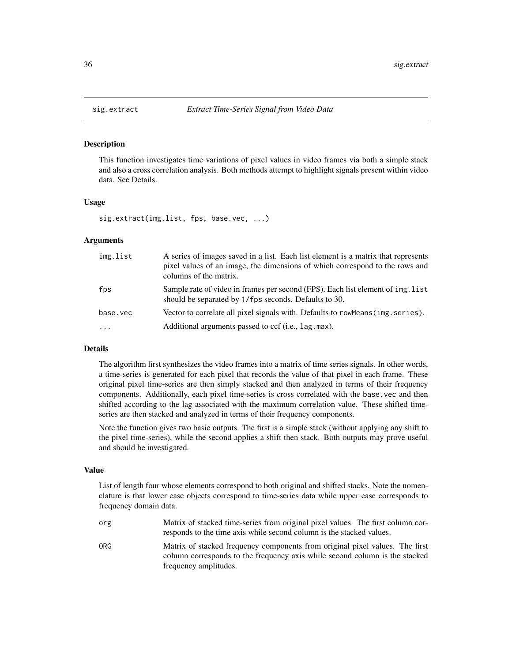#### Description

This function investigates time variations of pixel values in video frames via both a simple stack and also a cross correlation analysis. Both methods attempt to highlight signals present within video data. See Details.

#### Usage

sig.extract(img.list, fps, base.vec, ...)

#### Arguments

| img.list | A series of images saved in a list. Each list element is a matrix that represents<br>pixel values of an image, the dimensions of which correspond to the rows and<br>columns of the matrix. |
|----------|---------------------------------------------------------------------------------------------------------------------------------------------------------------------------------------------|
| fps      | Sample rate of video in frames per second (FPS). Each list element of img. list<br>should be separated by 1/fps seconds. Defaults to 30.                                                    |
| base.vec | Vector to correlate all pixel signals with. Defaults to row Means (ing. series).                                                                                                            |
| $\cdots$ | Additional arguments passed to ccf (i.e., lag. max).                                                                                                                                        |

#### Details

The algorithm first synthesizes the video frames into a matrix of time series signals. In other words, a time-series is generated for each pixel that records the value of that pixel in each frame. These original pixel time-series are then simply stacked and then analyzed in terms of their frequency components. Additionally, each pixel time-series is cross correlated with the base.vec and then shifted according to the lag associated with the maximum correlation value. These shifted timeseries are then stacked and analyzed in terms of their frequency components.

Note the function gives two basic outputs. The first is a simple stack (without applying any shift to the pixel time-series), while the second applies a shift then stack. Both outputs may prove useful and should be investigated.

#### Value

List of length four whose elements correspond to both original and shifted stacks. Note the nomenclature is that lower case objects correspond to time-series data while upper case corresponds to frequency domain data.

- org Matrix of stacked time-series from original pixel values. The first column corresponds to the time axis while second column is the stacked values.
- ORG Matrix of stacked frequency components from original pixel values. The first column corresponds to the frequency axis while second column is the stacked frequency amplitudes.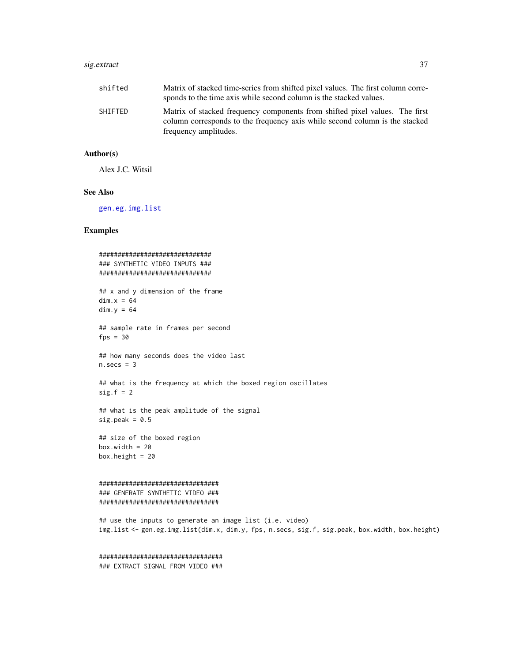# <span id="page-36-0"></span>sig.extract 37

| shifted | Matrix of stacked time-series from shifted pixel values. The first column corre- |
|---------|----------------------------------------------------------------------------------|
|         | sponds to the time axis while second column is the stacked values.               |
| SHIFTED | Matrix of stacked frequency components from shifted pixel values. The first      |
|         | column corresponds to the frequency axis while second column is the stacked      |
|         | frequency amplitudes.                                                            |

# Author(s)

Alex J.C. Witsil

# See Also

[gen.eg.img.list](#page-26-1)

# Examples

```
##############################
### SYNTHETIC VIDEO INPUTS ###
##############################
## x and y dimension of the frame
dim.x = 64dim.y = 64## sample rate in frames per second
fps = 30## how many seconds does the video last
n.secs = 3## what is the frequency at which the boxed region oscillates
sig.f = 2## what is the peak amplitude of the signal
sig.peak = 0.5## size of the boxed region
box.width = 20box.height = 20################################
### GENERATE SYNTHETIC VIDEO ###
################################
## use the inputs to generate an image list (i.e. video)
img.list <- gen.eg.img.list(dim.x, dim.y, fps, n.secs, sig.f, sig.peak, box.width, box.height)
```
################################# ### EXTRACT SIGNAL FROM VIDEO ###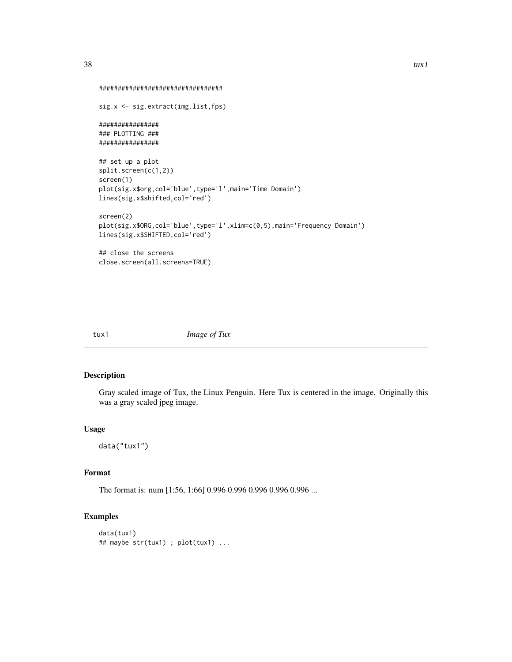```
#################################
```

```
sig.x <- sig.extract(img.list,fps)
################
### PLOTTING ###
################
```

```
## set up a plot
split.screen(c(1,2))
screen(1)
plot(sig.x$org,col='blue',type='l',main='Time Domain')
lines(sig.x$shifted,col='red')
```

```
screen(2)
plot(sig.x$ORG,col='blue',type='l',xlim=c(0,5),main='Frequency Domain')
lines(sig.x$SHIFTED,col='red')
```
## close the screens close.screen(all.screens=TRUE)

tux1 *Image of Tux*

# Description

Gray scaled image of Tux, the Linux Penguin. Here Tux is centered in the image. Originally this was a gray scaled jpeg image.

# Usage

data("tux1")

#### Format

The format is: num [1:56, 1:66] 0.996 0.996 0.996 0.996 0.996 ...

# Examples

```
data(tux1)
## maybe str(tux1) ; plot(tux1) ...
```
<span id="page-37-0"></span>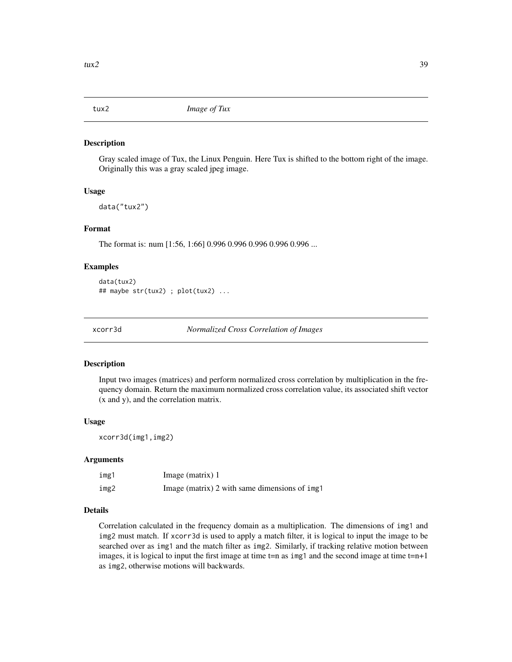<span id="page-38-0"></span>

#### Description

Gray scaled image of Tux, the Linux Penguin. Here Tux is shifted to the bottom right of the image. Originally this was a gray scaled jpeg image.

#### Usage

data("tux2")

#### Format

The format is: num [1:56, 1:66] 0.996 0.996 0.996 0.996 0.996 ...

### Examples

```
data(tux2)
## maybe str(tux2) ; plot(tux2) ...
```
<span id="page-38-1"></span>xcorr3d *Normalized Cross Correlation of Images*

#### Description

Input two images (matrices) and perform normalized cross correlation by multiplication in the frequency domain. Return the maximum normalized cross correlation value, its associated shift vector (x and y), and the correlation matrix.

#### Usage

xcorr3d(img1,img2)

# Arguments

| img1 | Image (matrix) 1                              |
|------|-----------------------------------------------|
| img2 | Image (matrix) 2 with same dimensions of img1 |

# Details

Correlation calculated in the frequency domain as a multiplication. The dimensions of img1 and img2 must match. If xcorr3d is used to apply a match filter, it is logical to input the image to be searched over as img1 and the match filter as img2. Similarly, if tracking relative motion between images, it is logical to input the first image at time  $t=n$  as img1 and the second image at time  $t=n+1$ as img2, otherwise motions will backwards.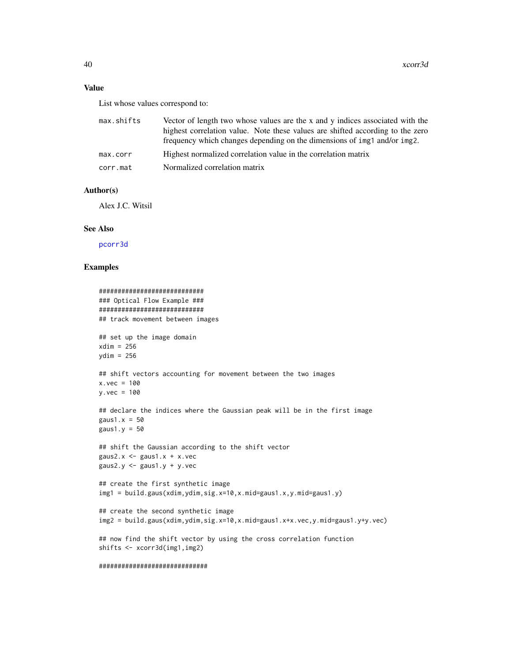# <span id="page-39-0"></span>Value

List whose values correspond to:

| max.shifts | Vector of length two whose values are the x and y indices associated with the  |
|------------|--------------------------------------------------------------------------------|
|            | highest correlation value. Note these values are shifted according to the zero |
|            | frequency which changes depending on the dimensions of img1 and/or img2.       |
| max.corr   | Highest normalized correlation value in the correlation matrix                 |
| corr.mat   | Normalized correlation matrix                                                  |
|            |                                                                                |

# Author(s)

Alex J.C. Witsil

#### See Also

[pcorr3d](#page-29-1)

### Examples

```
############################
### Optical Flow Example ###
############################
## track movement between images
## set up the image domain
xdim = 256
ydim = 256
## shift vectors accounting for movement between the two images
x.vec = 100y.vec = 100
## declare the indices where the Gaussian peak will be in the first image
gaus1.x = 50gaus1.y = 50## shift the Gaussian according to the shift vector
gaus2.x \leq - gaus1.x + x. vec
gaus2.y \leq gaus1.y + y.vec
## create the first synthetic image
img1 = build.gaus(xdim,ydim,sig.x=10,x.mid=gaus1.x,y.mid=gaus1.y)
## create the second synthetic image
img2 = build.gaus(xdim,ydim,sig.x=10,x.mid=gaus1.x+x.vec,y.mid=gaus1.y+y.vec)
## now find the shift vector by using the cross correlation function
shifts <- xcorr3d(img1,img2)
```
#### #############################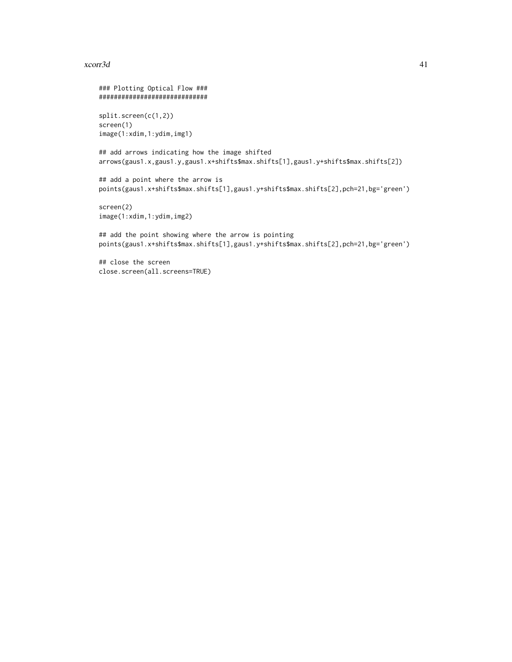#### $x$ corr $3d$  41

### Plotting Optical Flow ### ############################# split.screen(c(1,2)) screen(1) image(1:xdim,1:ydim,img1) ## add arrows indicating how the image shifted arrows(gaus1.x,gaus1.y,gaus1.x+shifts\$max.shifts[1],gaus1.y+shifts\$max.shifts[2]) ## add a point where the arrow is points(gaus1.x+shifts\$max.shifts[1],gaus1.y+shifts\$max.shifts[2],pch=21,bg='green') screen(2) image(1:xdim,1:ydim,img2) ## add the point showing where the arrow is pointing points(gaus1.x+shifts\$max.shifts[1],gaus1.y+shifts\$max.shifts[2],pch=21,bg='green')

## close the screen close.screen(all.screens=TRUE)